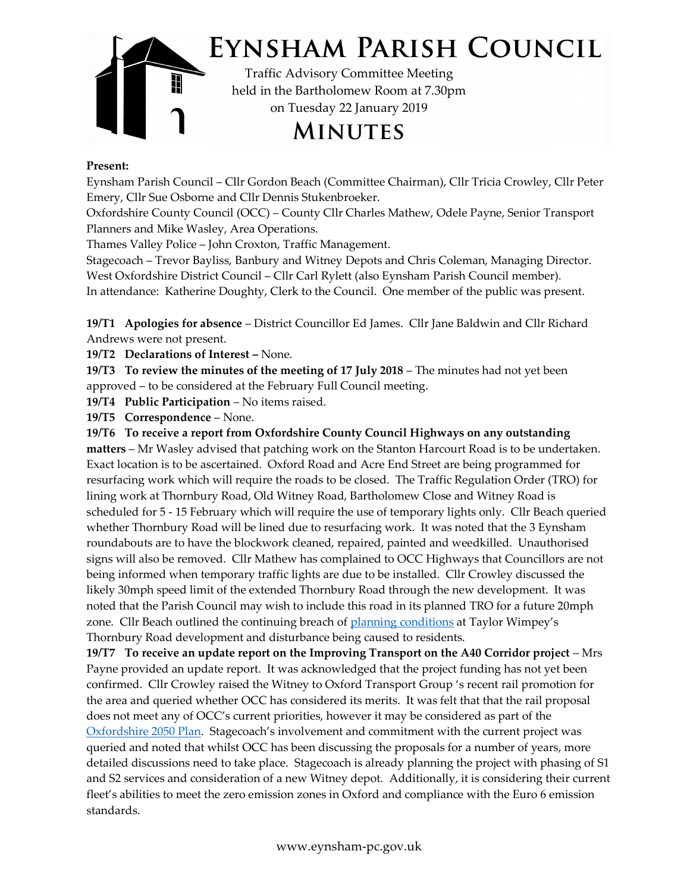

## Present:

Eynsham Parish Council – Cllr Gordon Beach (Committee Chairman), Cllr Tricia Crowley, Cllr Peter Emery, Cllr Sue Osborne and Cllr Dennis Stukenbroeker.

Oxfordshire County Council (OCC) – County Cllr Charles Mathew, Odele Payne, Senior Transport Planners and Mike Wasley, Area Operations.

Thames Valley Police – John Croxton, Traffic Management.

 In attendance: Katherine Doughty, Clerk to the Council. One member of the public was present. Stagecoach – Trevor Bayliss, Banbury and Witney Depots and Chris Coleman, Managing Director. West Oxfordshire District Council – Cllr Carl Rylett (also Eynsham Parish Council member).

19/T1 Apologies for absence – District Councillor Ed James. Cllr Jane Baldwin and Cllr Richard Andrews were not present.

19/T2 Declarations of Interest – None.

19/T3 To review the minutes of the meeting of 17 July 2018 – The minutes had not yet been approved – to be considered at the February Full Council meeting.

19/T4 Public Participation – No items raised.

19/T5 Correspondence – None.

19/T6 To receive a report from Oxfordshire County Council Highways on any outstanding matters – Mr Wasley advised that patching work on the Stanton Harcourt Road is to be undertaken. Exact location is to be ascertained. Oxford Road and Acre End Street are being programmed for resurfacing work which will require the roads to be closed. The Traffic Regulation Order (TRO) for lining work at Thornbury Road, Old Witney Road, Bartholomew Close and Witney Road is scheduled for 5 - 15 February which will require the use of temporary lights only. Cllr Beach queried whether Thornbury Road will be lined due to resurfacing work. It was noted that the 3 Eynsham roundabouts are to have the blockwork cleaned, repaired, painted and weedkilled. Unauthorised signs will also be removed. Cllr Mathew has complained to OCC Highways that Councillors are not being informed when temporary traffic lights are due to be installed. Cllr Crowley discussed the likely 30mph speed limit of the extended Thornbury Road through the new development. It was noted that the Parish Council may wish to include this road in its planned TRO for a future 20mph zone. Cllr Beach outlined the continuing breach of planning conditions at Taylor Wimpey's Thornbury Road development and disturbance being caused to residents.

 standards.19/T7 To receive an update report on the Improving Transport on the A40 Corridor project – Mrs Payne provided an update report. It was acknowledged that the project funding has not yet been confirmed. Cllr Crowley raised the Witney to Oxford Transport Group 's recent rail promotion for the area and queried whether OCC has considered its merits. It was felt that that the rail proposal does not meet any of OCC's current priorities, however it may be considered as part of the Oxfordshire 2050 Plan. Stagecoach's involvement and commitment with the current project was queried and noted that whilst OCC has been discussing the proposals for a number of years, more detailed discussions need to take place. Stagecoach is already planning the project with phasing of S1 and S2 services and consideration of a new Witney depot. Additionally, it is considering their current fleet's abilities to meet the zero emission zones in Oxford and compliance with the Euro 6 emission